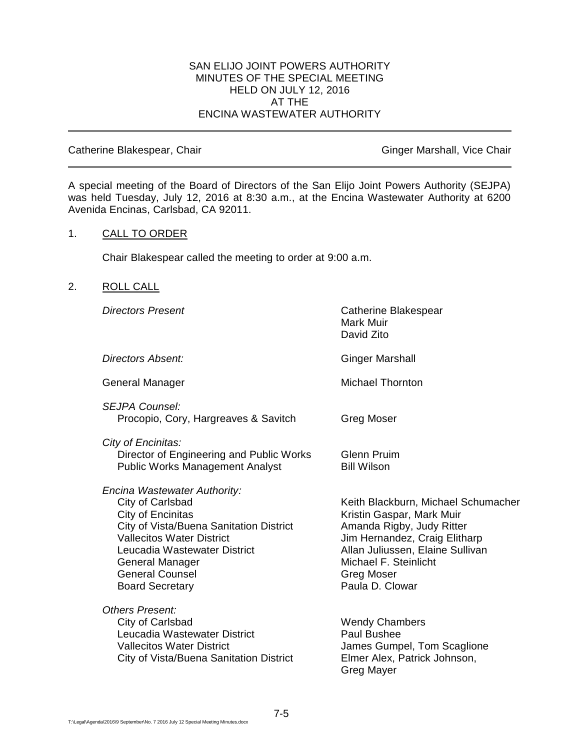### SAN ELIJO JOINT POWERS AUTHORITY MINUTES OF THE SPECIAL MEETING HELD ON JULY 12, 2016 AT THE ENCINA WASTEWATER AUTHORITY

Catherine Blakespear, Chair Ginger Marshall, Vice Chair Ginger Marshall, Vice Chair

A special meeting of the Board of Directors of the San Elijo Joint Powers Authority (SEJPA) was held Tuesday, July 12, 2016 at 8:30 a.m., at the Encina Wastewater Authority at 6200 Avenida Encinas, Carlsbad, CA 92011.

### 1. CALL TO ORDER

Chair Blakespear called the meeting to order at 9:00 a.m.

### 2. ROLL CALL

| <b>Directors Present</b>                                                                                                                                                                                                                                    | Catherine Blakespear<br>Mark Muir<br>David Zito                                                                                                                                                                                     |
|-------------------------------------------------------------------------------------------------------------------------------------------------------------------------------------------------------------------------------------------------------------|-------------------------------------------------------------------------------------------------------------------------------------------------------------------------------------------------------------------------------------|
| Directors Absent:                                                                                                                                                                                                                                           | <b>Ginger Marshall</b>                                                                                                                                                                                                              |
| <b>General Manager</b>                                                                                                                                                                                                                                      | <b>Michael Thornton</b>                                                                                                                                                                                                             |
| <b>SEJPA Counsel:</b><br>Procopio, Cory, Hargreaves & Savitch                                                                                                                                                                                               | Greg Moser                                                                                                                                                                                                                          |
| City of Encinitas:<br>Director of Engineering and Public Works<br><b>Public Works Management Analyst</b>                                                                                                                                                    | <b>Glenn Pruim</b><br><b>Bill Wilson</b>                                                                                                                                                                                            |
| Encina Wastewater Authority:<br>City of Carlsbad<br>City of Encinitas<br>City of Vista/Buena Sanitation District<br><b>Vallecitos Water District</b><br>Leucadia Wastewater District<br>General Manager<br><b>General Counsel</b><br><b>Board Secretary</b> | Keith Blackburn, Michael Schumacher<br>Kristin Gaspar, Mark Muir<br>Amanda Rigby, Judy Ritter<br>Jim Hernandez, Craig Elitharp<br>Allan Juliussen, Elaine Sullivan<br>Michael F. Steinlicht<br><b>Greg Moser</b><br>Paula D. Clowar |
| Others Present:<br>City of Carlsbad<br>Leucadia Wastewater District<br><b>Vallecitos Water District</b><br>City of Vista/Buena Sanitation District                                                                                                          | <b>Wendy Chambers</b><br>Paul Bushee<br>James Gumpel, Tom Scaglione<br>Elmer Alex, Patrick Johnson,<br>Greg Mayer                                                                                                                   |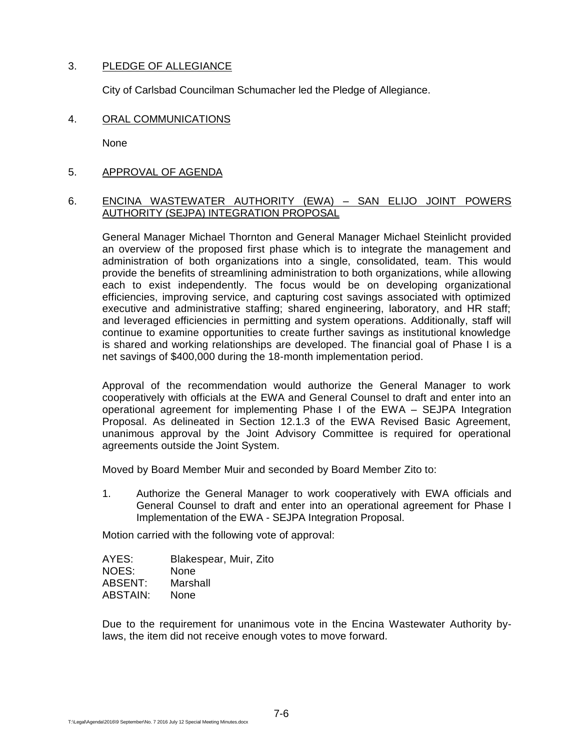## 3. PLEDGE OF ALLEGIANCE

City of Carlsbad Councilman Schumacher led the Pledge of Allegiance.

4. ORAL COMMUNICATIONS

None

5. APPROVAL OF AGENDA

### 6. ENCINA WASTEWATER AUTHORITY (EWA) – SAN ELIJO JOINT POWERS AUTHORITY (SEJPA) INTEGRATION PROPOSAL

General Manager Michael Thornton and General Manager Michael Steinlicht provided an overview of the proposed first phase which is to integrate the management and administration of both organizations into a single, consolidated, team. This would provide the benefits of streamlining administration to both organizations, while allowing each to exist independently. The focus would be on developing organizational efficiencies, improving service, and capturing cost savings associated with optimized executive and administrative staffing; shared engineering, laboratory, and HR staff; and leveraged efficiencies in permitting and system operations. Additionally, staff will continue to examine opportunities to create further savings as institutional knowledge is shared and working relationships are developed. The financial goal of Phase I is a net savings of \$400,000 during the 18-month implementation period.

Approval of the recommendation would authorize the General Manager to work cooperatively with officials at the EWA and General Counsel to draft and enter into an operational agreement for implementing Phase I of the EWA – SEJPA Integration Proposal. As delineated in Section 12.1.3 of the EWA Revised Basic Agreement, unanimous approval by the Joint Advisory Committee is required for operational agreements outside the Joint System.

Moved by Board Member Muir and seconded by Board Member Zito to:

1. Authorize the General Manager to work cooperatively with EWA officials and General Counsel to draft and enter into an operational agreement for Phase I Implementation of the EWA - SEJPA Integration Proposal.

Motion carried with the following vote of approval:

| AYES:    | Blakespear, Muir, Zito |
|----------|------------------------|
| NOES:    | None                   |
| ABSENT:  | Marshall               |
| ABSTAIN: | None                   |

Due to the requirement for unanimous vote in the Encina Wastewater Authority bylaws, the item did not receive enough votes to move forward.